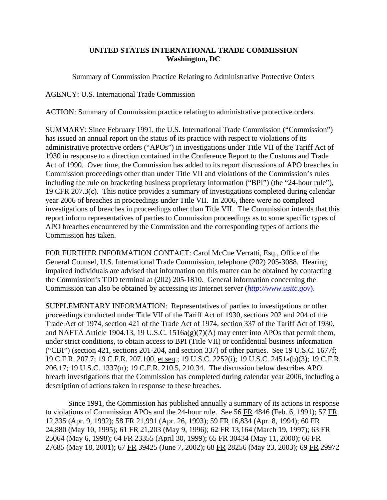## **UNITED STATES INTERNATIONAL TRADE COMMISSION Washington, DC**

Summary of Commission Practice Relating to Administrative Protective Orders

AGENCY: U.S. International Trade Commission

ACTION: Summary of Commission practice relating to administrative protective orders.

SUMMARY: Since February 1991, the U.S. International Trade Commission ("Commission") has issued an annual report on the status of its practice with respect to violations of its administrative protective orders ("APOs") in investigations under Title VII of the Tariff Act of 1930 in response to a direction contained in the Conference Report to the Customs and Trade Act of 1990. Over time, the Commission has added to its report discussions of APO breaches in Commission proceedings other than under Title VII and violations of the Commission's rules including the rule on bracketing business proprietary information ("BPI") (the "24-hour rule"), 19 CFR 207.3(c). This notice provides a summary of investigations completed during calendar year 2006 of breaches in proceedings under Title VII. In 2006, there were no completed investigations of breaches in proceedings other than Title VII. The Commission intends that this report inform representatives of parties to Commission proceedings as to some specific types of APO breaches encountered by the Commission and the corresponding types of actions the Commission has taken.

FOR FURTHER INFORMATION CONTACT: Carol McCue Verratti, Esq., Office of the General Counsel, U.S. International Trade Commission, telephone (202) 205-3088. Hearing impaired individuals are advised that information on this matter can be obtained by contacting the Commission's TDD terminal at (202) 205-1810. General information concerning the Commission can also be obtained by accessing its Internet server (*http://www.usitc.gov*).

SUPPLEMENTARY INFORMATION: Representatives of parties to investigations or other proceedings conducted under Title VII of the Tariff Act of 1930, sections 202 and 204 of the Trade Act of 1974, section 421 of the Trade Act of 1974, section 337 of the Tariff Act of 1930, and NAFTA Article 1904.13, 19 U.S.C. 1516a(g)(7)(A) may enter into APOs that permit them, under strict conditions, to obtain access to BPI (Title VII) or confidential business information ("CBI") (section 421, sections 201-204, and section 337) of other parties. See 19 U.S.C. 1677f; 19 C.F.R. 207.7; 19 C.F.R. 207.100, et.seq.; 19 U.S.C. 2252(i); 19 U.S.C. 2451a(b)(3); 19 C.F.R. 206.17; 19 U.S.C. 1337(n); 19 C.F.R. 210.5, 210.34. The discussion below describes APO breach investigations that the Commission has completed during calendar year 2006, including a description of actions taken in response to these breaches.

Since 1991, the Commission has published annually a summary of its actions in response to violations of Commission APOs and the 24-hour rule. See 56 FR 4846 (Feb. 6, 1991); 57 FR 12,335 (Apr. 9, 1992); 58 FR 21,991 (Apr. 26, 1993); 59 FR 16,834 (Apr. 8, 1994); 60 FR 24,880 (May 10, 1995); 61 FR 21,203 (May 9, 1996); 62 FR 13,164 (March 19, 1997); 63 FR 25064 (May 6, 1998); 64 FR 23355 (April 30, 1999); 65 FR 30434 (May 11, 2000); 66 FR 27685 (May 18, 2001); 67 FR 39425 (June 7, 2002); 68 FR 28256 (May 23, 2003); 69 FR 29972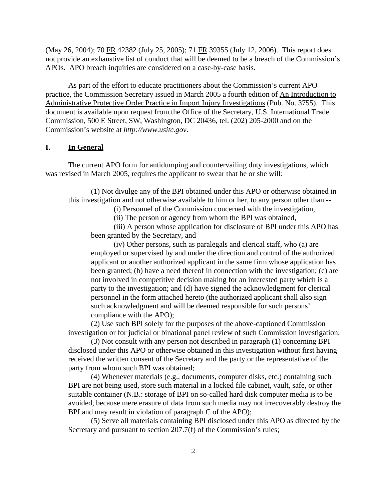(May 26, 2004); 70 FR 42382 (July 25, 2005); 71 FR 39355 (July 12, 2006). This report does not provide an exhaustive list of conduct that will be deemed to be a breach of the Commission's APOs. APO breach inquiries are considered on a case-by-case basis.

As part of the effort to educate practitioners about the Commission's current APO practice, the Commission Secretary issued in March 2005 a fourth edition of An Introduction to Administrative Protective Order Practice in Import Injury Investigations (Pub. No. 3755). This document is available upon request from the Office of the Secretary, U.S. International Trade Commission, 500 E Street, SW, Washington, DC 20436, tel. (202) 205-2000 and on the Commission's website at *http://www.usitc.gov*.

## **I. In General**

The current APO form for antidumping and countervailing duty investigations, which was revised in March 2005, requires the applicant to swear that he or she will:

(1) Not divulge any of the BPI obtained under this APO or otherwise obtained in this investigation and not otherwise available to him or her, to any person other than --

(i) Personnel of the Commission concerned with the investigation,

(ii) The person or agency from whom the BPI was obtained,

(iii) A person whose application for disclosure of BPI under this APO has been granted by the Secretary, and

(iv) Other persons, such as paralegals and clerical staff, who (a) are employed or supervised by and under the direction and control of the authorized applicant or another authorized applicant in the same firm whose application has been granted; (b) have a need thereof in connection with the investigation; (c) are not involved in competitive decision making for an interested party which is a party to the investigation; and (d) have signed the acknowledgment for clerical personnel in the form attached hereto (the authorized applicant shall also sign such acknowledgment and will be deemed responsible for such persons' compliance with the APO);

(2) Use such BPI solely for the purposes of the above-captioned Commission investigation or for judicial or binational panel review of such Commission investigation;

(3) Not consult with any person not described in paragraph (1) concerning BPI disclosed under this APO or otherwise obtained in this investigation without first having received the written consent of the Secretary and the party or the representative of the party from whom such BPI was obtained;

(4) Whenever materials  $(e.g.,$  documents, computer disks, etc.) containing such BPI are not being used, store such material in a locked file cabinet, vault, safe, or other suitable container (N.B.: storage of BPI on so-called hard disk computer media is to be avoided, because mere erasure of data from such media may not irrecoverably destroy the BPI and may result in violation of paragraph C of the APO);

(5) Serve all materials containing BPI disclosed under this APO as directed by the Secretary and pursuant to section 207.7(f) of the Commission's rules;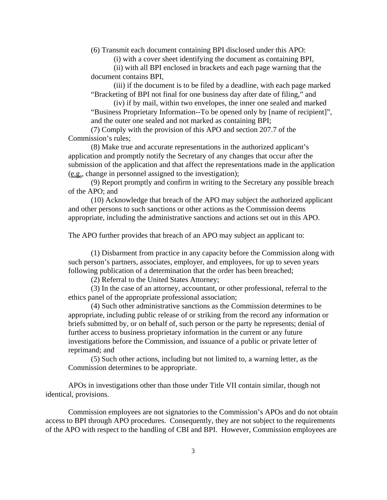(6) Transmit each document containing BPI disclosed under this APO:

(i) with a cover sheet identifying the document as containing BPI,

(ii) with all BPI enclosed in brackets and each page warning that the document contains BPI,

(iii) if the document is to be filed by a deadline, with each page marked "Bracketing of BPI not final for one business day after date of filing," and

(iv) if by mail, within two envelopes, the inner one sealed and marked "Business Proprietary Information--To be opened only by [name of recipient]", and the outer one sealed and not marked as containing BPI;

(7) Comply with the provision of this APO and section 207.7 of the Commission's rules;

(8) Make true and accurate representations in the authorized applicant's application and promptly notify the Secretary of any changes that occur after the submission of the application and that affect the representations made in the application (e.g., change in personnel assigned to the investigation);

(9) Report promptly and confirm in writing to the Secretary any possible breach of the APO; and

(10) Acknowledge that breach of the APO may subject the authorized applicant and other persons to such sanctions or other actions as the Commission deems appropriate, including the administrative sanctions and actions set out in this APO.

The APO further provides that breach of an APO may subject an applicant to:

(1) Disbarment from practice in any capacity before the Commission along with such person's partners, associates, employer, and employees, for up to seven years following publication of a determination that the order has been breached;

(2) Referral to the United States Attorney;

(3) In the case of an attorney, accountant, or other professional, referral to the ethics panel of the appropriate professional association;

(4) Such other administrative sanctions as the Commission determines to be appropriate, including public release of or striking from the record any information or briefs submitted by, or on behalf of, such person or the party he represents; denial of further access to business proprietary information in the current or any future investigations before the Commission, and issuance of a public or private letter of reprimand; and

(5) Such other actions, including but not limited to, a warning letter, as the Commission determines to be appropriate.

APOs in investigations other than those under Title VII contain similar, though not identical, provisions.

Commission employees are not signatories to the Commission's APOs and do not obtain access to BPI through APO procedures. Consequently, they are not subject to the requirements of the APO with respect to the handling of CBI and BPI. However, Commission employees are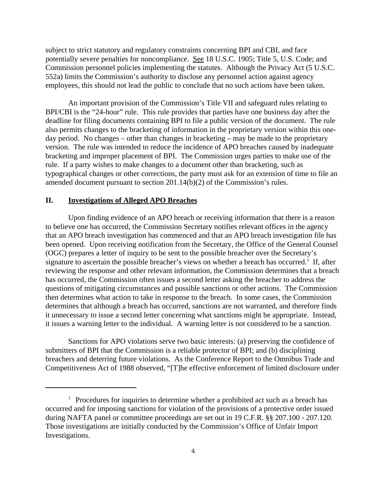subject to strict statutory and regulatory constraints concerning BPI and CBI, and face potentially severe penalties for noncompliance. See 18 U.S.C. 1905; Title 5, U.S. Code; and Commission personnel policies implementing the statutes. Although the Privacy Act (5 U.S.C. 552a) limits the Commission's authority to disclose any personnel action against agency employees, this should not lead the public to conclude that no such actions have been taken.

An important provision of the Commission's Title VII and safeguard rules relating to BPI/CBI is the "24-hour" rule. This rule provides that parties have one business day after the deadline for filing documents containing BPI to file a public version of the document. The rule also permits changes to the bracketing of information in the proprietary version within this oneday period. No changes – other than changes in bracketing – may be made to the proprietary version. The rule was intended to reduce the incidence of APO breaches caused by inadequate bracketing and improper placement of BPI. The Commission urges parties to make use of the rule. If a party wishes to make changes to a document other than bracketing, such as typographical changes or other corrections, the party must ask for an extension of time to file an amended document pursuant to section 201.14(b)(2) of the Commission's rules.

## **II. Investigations of Alleged APO Breaches**

Upon finding evidence of an APO breach or receiving information that there is a reason to believe one has occurred, the Commission Secretary notifies relevant offices in the agency that an APO breach investigation has commenced and that an APO breach investigation file has been opened. Upon receiving notification from the Secretary, the Office of the General Counsel (OGC) prepares a letter of inquiry to be sent to the possible breacher over the Secretary's signature to ascertain the possible breacher's views on whether a breach has occurred.<sup>1</sup> If, after reviewing the response and other relevant information, the Commission determines that a breach has occurred, the Commission often issues a second letter asking the breacher to address the questions of mitigating circumstances and possible sanctions or other actions. The Commission then determines what action to take in response to the breach. In some cases, the Commission determines that although a breach has occurred, sanctions are not warranted, and therefore finds it unnecessary to issue a second letter concerning what sanctions might be appropriate. Instead, it issues a warning letter to the individual. A warning letter is not considered to be a sanction.

Sanctions for APO violations serve two basic interests: (a) preserving the confidence of submitters of BPI that the Commission is a reliable protector of BPI; and (b) disciplining breachers and deterring future violations. As the Conference Report to the Omnibus Trade and Competitiveness Act of 1988 observed, "[T]he effective enforcement of limited disclosure under

 $1$  Procedures for inquiries to determine whether a prohibited act such as a breach has occurred and for imposing sanctions for violation of the provisions of a protective order issued during NAFTA panel or committee proceedings are set out in 19 C.F.R. §§ 207.100 - 207.120. Those investigations are initially conducted by the Commission's Office of Unfair Import Investigations.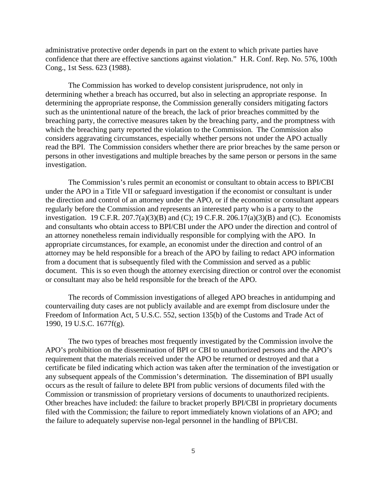administrative protective order depends in part on the extent to which private parties have confidence that there are effective sanctions against violation." H.R. Conf. Rep. No. 576, 100th Cong., 1st Sess. 623 (1988).

The Commission has worked to develop consistent jurisprudence, not only in determining whether a breach has occurred, but also in selecting an appropriate response. In determining the appropriate response, the Commission generally considers mitigating factors such as the unintentional nature of the breach, the lack of prior breaches committed by the breaching party, the corrective measures taken by the breaching party, and the promptness with which the breaching party reported the violation to the Commission. The Commission also considers aggravating circumstances, especially whether persons not under the APO actually read the BPI. The Commission considers whether there are prior breaches by the same person or persons in other investigations and multiple breaches by the same person or persons in the same investigation.

The Commission's rules permit an economist or consultant to obtain access to BPI/CBI under the APO in a Title VII or safeguard investigation if the economist or consultant is under the direction and control of an attorney under the APO, or if the economist or consultant appears regularly before the Commission and represents an interested party who is a party to the investigation. 19 C.F.R. 207.7(a)(3)(B) and (C); 19 C.F.R. 206.17(a)(3)(B) and (C). Economists and consultants who obtain access to BPI/CBI under the APO under the direction and control of an attorney nonetheless remain individually responsible for complying with the APO. In appropriate circumstances, for example, an economist under the direction and control of an attorney may be held responsible for a breach of the APO by failing to redact APO information from a document that is subsequently filed with the Commission and served as a public document. This is so even though the attorney exercising direction or control over the economist or consultant may also be held responsible for the breach of the APO.

The records of Commission investigations of alleged APO breaches in antidumping and countervailing duty cases are not publicly available and are exempt from disclosure under the Freedom of Information Act, 5 U.S.C. 552, section 135(b) of the Customs and Trade Act of 1990, 19 U.S.C. 1677f(g).

The two types of breaches most frequently investigated by the Commission involve the APO's prohibition on the dissemination of BPI or CBI to unauthorized persons and the APO's requirement that the materials received under the APO be returned or destroyed and that a certificate be filed indicating which action was taken after the termination of the investigation or any subsequent appeals of the Commission's determination. The dissemination of BPI usually occurs as the result of failure to delete BPI from public versions of documents filed with the Commission or transmission of proprietary versions of documents to unauthorized recipients. Other breaches have included: the failure to bracket properly BPI/CBI in proprietary documents filed with the Commission; the failure to report immediately known violations of an APO; and the failure to adequately supervise non-legal personnel in the handling of BPI/CBI.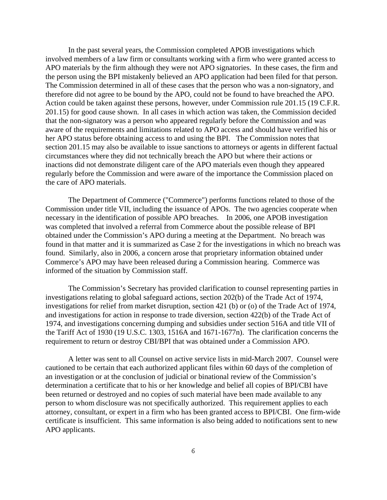In the past several years, the Commission completed APOB investigations which involved members of a law firm or consultants working with a firm who were granted access to APO materials by the firm although they were not APO signatories. In these cases, the firm and the person using the BPI mistakenly believed an APO application had been filed for that person. The Commission determined in all of these cases that the person who was a non-signatory, and therefore did not agree to be bound by the APO, could not be found to have breached the APO. Action could be taken against these persons, however, under Commission rule 201.15 (19 C.F.R. 201.15) for good cause shown. In all cases in which action was taken, the Commission decided that the non-signatory was a person who appeared regularly before the Commission and was aware of the requirements and limitations related to APO access and should have verified his or her APO status before obtaining access to and using the BPI. The Commission notes that section 201.15 may also be available to issue sanctions to attorneys or agents in different factual circumstances where they did not technically breach the APO but where their actions or inactions did not demonstrate diligent care of the APO materials even though they appeared regularly before the Commission and were aware of the importance the Commission placed on the care of APO materials.

The Department of Commerce ("Commerce") performs functions related to those of the Commission under title VII, including the issuance of APOs. The two agencies cooperate when necessary in the identification of possible APO breaches. In 2006, one APOB investigation was completed that involved a referral from Commerce about the possible release of BPI obtained under the Commission's APO during a meeting at the Department. No breach was found in that matter and it is summarized as Case 2 for the investigations in which no breach was found. Similarly, also in 2006, a concern arose that proprietary information obtained under Commerce's APO may have been released during a Commission hearing. Commerce was informed of the situation by Commission staff.

The Commission's Secretary has provided clarification to counsel representing parties in investigations relating to global safeguard actions, section 202(b) of the Trade Act of 1974, investigations for relief from market disruption, section 421 (b) or (o) of the Trade Act of 1974, and investigations for action in response to trade diversion, section 422(b) of the Trade Act of 1974, and investigations concerning dumping and subsidies under section 516A and title VII of the Tariff Act of 1930 (19 U.S.C. 1303, 1516A and 1671-1677n). The clarification concerns the requirement to return or destroy CBI/BPI that was obtained under a Commission APO.

A letter was sent to all Counsel on active service lists in mid-March 2007. Counsel were cautioned to be certain that each authorized applicant files within 60 days of the completion of an investigation or at the conclusion of judicial or binational review of the Commission's determination a certificate that to his or her knowledge and belief all copies of BPI/CBI have been returned or destroyed and no copies of such material have been made available to any person to whom disclosure was not specifically authorized. This requirement applies to each attorney, consultant, or expert in a firm who has been granted access to BPI/CBI. One firm-wide certificate is insufficient. This same information is also being added to notifications sent to new APO applicants.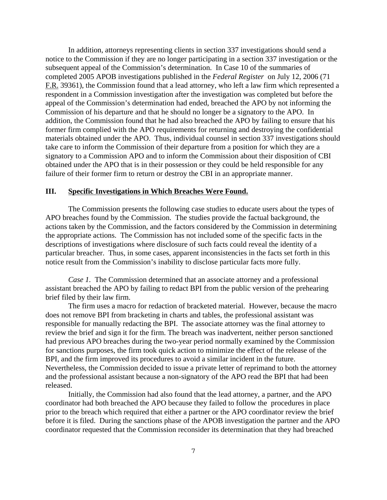In addition, attorneys representing clients in section 337 investigations should send a notice to the Commission if they are no longer participating in a section 337 investigation or the subsequent appeal of the Commission's determination. In Case 10 of the summaries of completed 2005 APOB investigations published in the *Federal Register* on July 12, 2006 (71 F.R. 39361), the Commission found that a lead attorney, who left a law firm which represented a respondent in a Commission investigation after the investigation was completed but before the appeal of the Commission's determination had ended, breached the APO by not informing the Commission of his departure and that he should no longer be a signatory to the APO. In addition, the Commission found that he had also breached the APO by failing to ensure that his former firm complied with the APO requirements for returning and destroying the confidential materials obtained under the APO. Thus, individual counsel in section 337 investigations should take care to inform the Commission of their departure from a position for which they are a signatory to a Commission APO and to inform the Commission about their disposition of CBI obtained under the APO that is in their possession or they could be held responsible for any failure of their former firm to return or destroy the CBI in an appropriate manner.

## **III. Specific Investigations in Which Breaches Were Found.**

The Commission presents the following case studies to educate users about the types of APO breaches found by the Commission. The studies provide the factual background, the actions taken by the Commission, and the factors considered by the Commission in determining the appropriate actions. The Commission has not included some of the specific facts in the descriptions of investigations where disclosure of such facts could reveal the identity of a particular breacher. Thus, in some cases, apparent inconsistencies in the facts set forth in this notice result from the Commission's inability to disclose particular facts more fully.

*Case 1.* The Commission determined that an associate attorney and a professional assistant breached the APO by failing to redact BPI from the public version of the prehearing brief filed by their law firm.

The firm uses a macro for redaction of bracketed material. However, because the macro does not remove BPI from bracketing in charts and tables, the professional assistant was responsible for manually redacting the BPI. The associate attorney was the final attorney to review the brief and sign it for the firm. The breach was inadvertent, neither person sanctioned had previous APO breaches during the two-year period normally examined by the Commission for sanctions purposes, the firm took quick action to minimize the effect of the release of the BPI, and the firm improved its procedures to avoid a similar incident in the future. Nevertheless, the Commission decided to issue a private letter of reprimand to both the attorney and the professional assistant because a non-signatory of the APO read the BPI that had been released.

Initially, the Commission had also found that the lead attorney, a partner, and the APO coordinator had both breached the APO because they failed to follow the procedures in place prior to the breach which required that either a partner or the APO coordinator review the brief before it is filed. During the sanctions phase of the APOB investigation the partner and the APO coordinator requested that the Commission reconsider its determination that they had breached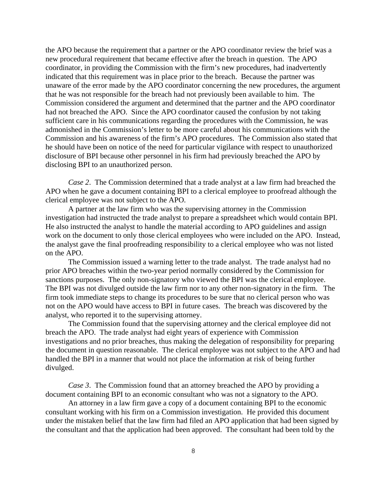the APO because the requirement that a partner or the APO coordinator review the brief was a new procedural requirement that became effective after the breach in question. The APO coordinator, in providing the Commission with the firm's new procedures, had inadvertently indicated that this requirement was in place prior to the breach. Because the partner was unaware of the error made by the APO coordinator concerning the new procedures, the argument that he was not responsible for the breach had not previously been available to him. The Commission considered the argument and determined that the partner and the APO coordinator had not breached the APO. Since the APO coordinator caused the confusion by not taking sufficient care in his communications regarding the procedures with the Commission, he was admonished in the Commission's letter to be more careful about his communications with the Commission and his awareness of the firm's APO procedures. The Commission also stated that he should have been on notice of the need for particular vigilance with respect to unauthorized disclosure of BPI because other personnel in his firm had previously breached the APO by disclosing BPI to an unauthorized person.

*Case 2*. The Commission determined that a trade analyst at a law firm had breached the APO when he gave a document containing BPI to a clerical employee to proofread although the clerical employee was not subject to the APO.

A partner at the law firm who was the supervising attorney in the Commission investigation had instructed the trade analyst to prepare a spreadsheet which would contain BPI. He also instructed the analyst to handle the material according to APO guidelines and assign work on the document to only those clerical employees who were included on the APO. Instead, the analyst gave the final proofreading responsibility to a clerical employee who was not listed on the APO.

The Commission issued a warning letter to the trade analyst. The trade analyst had no prior APO breaches within the two-year period normally considered by the Commission for sanctions purposes. The only non-signatory who viewed the BPI was the clerical employee. The BPI was not divulged outside the law firm nor to any other non-signatory in the firm. The firm took immediate steps to change its procedures to be sure that no clerical person who was not on the APO would have access to BPI in future cases. The breach was discovered by the analyst, who reported it to the supervising attorney.

The Commission found that the supervising attorney and the clerical employee did not breach the APO. The trade analyst had eight years of experience with Commission investigations and no prior breaches, thus making the delegation of responsibility for preparing the document in question reasonable. The clerical employee was not subject to the APO and had handled the BPI in a manner that would not place the information at risk of being further divulged.

*Case 3*. The Commission found that an attorney breached the APO by providing a document containing BPI to an economic consultant who was not a signatory to the APO.

An attorney in a law firm gave a copy of a document containing BPI to the economic consultant working with his firm on a Commission investigation. He provided this document under the mistaken belief that the law firm had filed an APO application that had been signed by the consultant and that the application had been approved. The consultant had been told by the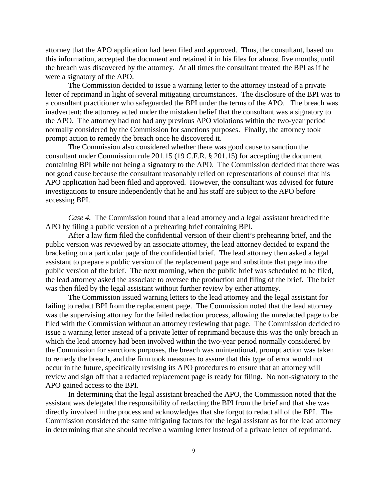attorney that the APO application had been filed and approved. Thus, the consultant, based on this information, accepted the document and retained it in his files for almost five months, until the breach was discovered by the attorney. At all times the consultant treated the BPI as if he were a signatory of the APO.

The Commission decided to issue a warning letter to the attorney instead of a private letter of reprimand in light of several mitigating circumstances. The disclosure of the BPI was to a consultant practitioner who safeguarded the BPI under the terms of the APO. The breach was inadvertent; the attorney acted under the mistaken belief that the consultant was a signatory to the APO. The attorney had not had any previous APO violations within the two-year period normally considered by the Commission for sanctions purposes. Finally, the attorney took prompt action to remedy the breach once he discovered it.

The Commission also considered whether there was good cause to sanction the consultant under Commission rule 201.15 (19 C.F.R. § 201.15) for accepting the document containing BPI while not being a signatory to the APO. The Commission decided that there was not good cause because the consultant reasonably relied on representations of counsel that his APO application had been filed and approved. However, the consultant was advised for future investigations to ensure independently that he and his staff are subject to the APO before accessing BPI.

*Case 4.* The Commission found that a lead attorney and a legal assistant breached the APO by filing a public version of a prehearing brief containing BPI.

After a law firm filed the confidential version of their client's prehearing brief, and the public version was reviewed by an associate attorney, the lead attorney decided to expand the bracketing on a particular page of the confidential brief. The lead attorney then asked a legal assistant to prepare a public version of the replacement page and substitute that page into the public version of the brief. The next morning, when the public brief was scheduled to be filed, the lead attorney asked the associate to oversee the production and filing of the brief. The brief was then filed by the legal assistant without further review by either attorney.

The Commission issued warning letters to the lead attorney and the legal assistant for failing to redact BPI from the replacement page. The Commission noted that the lead attorney was the supervising attorney for the failed redaction process, allowing the unredacted page to be filed with the Commission without an attorney reviewing that page. The Commission decided to issue a warning letter instead of a private letter of reprimand because this was the only breach in which the lead attorney had been involved within the two-year period normally considered by the Commission for sanctions purposes, the breach was unintentional, prompt action was taken to remedy the breach, and the firm took measures to assure that this type of error would not occur in the future, specifically revising its APO procedures to ensure that an attorney will review and sign off that a redacted replacement page is ready for filing. No non-signatory to the APO gained access to the BPI.

In determining that the legal assistant breached the APO, the Commission noted that the assistant was delegated the responsibility of redacting the BPI from the brief and that she was directly involved in the process and acknowledges that she forgot to redact all of the BPI. The Commission considered the same mitigating factors for the legal assistant as for the lead attorney in determining that she should receive a warning letter instead of a private letter of reprimand.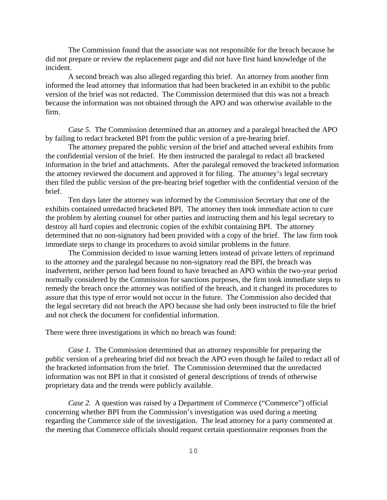The Commission found that the associate was not responsible for the breach because he did not prepare or review the replacement page and did not have first hand knowledge of the incident.

A second breach was also alleged regarding this brief. An attorney from another firm informed the lead attorney that information that had been bracketed in an exhibit to the public version of the brief was not redacted. The Commission determined that this was not a breach because the information was not obtained through the APO and was otherwise available to the firm.

*Case 5*. The Commission determined that an attorney and a paralegal breached the APO by failing to redact bracketed BPI from the public version of a pre-hearing brief.

The attorney prepared the public version of the brief and attached several exhibits from the confidential version of the brief. He then instructed the paralegal to redact all bracketed information in the brief and attachments. After the paralegal removed the bracketed information the attorney reviewed the document and approved it for filing. The attorney's legal secretary then filed the public version of the pre-hearing brief together with the confidential version of the brief.

Ten days later the attorney was informed by the Commission Secretary that one of the exhibits contained unredacted bracketed BPI. The attorney then took immediate action to cure the problem by alerting counsel for other parties and instructing them and his legal secretary to destroy all hard copies and electronic copies of the exhibit containing BPI. The attorney determined that no non-signatory had been provided with a copy of the brief. The law firm took immediate steps to change its procedures to avoid similar problems in the future.

The Commission decided to issue warning letters instead of private letters of reprimand to the attorney and the paralegal because no non-signatory read the BPI, the breach was inadvertent, neither person had been found to have breached an APO within the two-year period normally considered by the Commission for sanctions purposes, the firm took immediate steps to remedy the breach once the attorney was notified of the breach, and it changed its procedures to assure that this type of error would not occur in the future. The Commission also decided that the legal secretary did not breach the APO because she had only been instructed to file the brief and not check the document for confidential information.

There were three investigations in which no breach was found:

*Case 1.* The Commission determined that an attorney responsible for preparing the public version of a prehearing brief did not breach the APO even though he failed to redact all of the bracketed information from the brief. The Commission determined that the unredacted information was not BPI in that it consisted of general descriptions of trends of otherwise proprietary data and the trends were publicly available.

*Case 2.* A question was raised by a Department of Commerce ("Commerce") official concerning whether BPI from the Commission's investigation was used during a meeting regarding the Commerce side of the investigation. The lead attorney for a party commented at the meeting that Commerce officials should request certain questionnaire responses from the